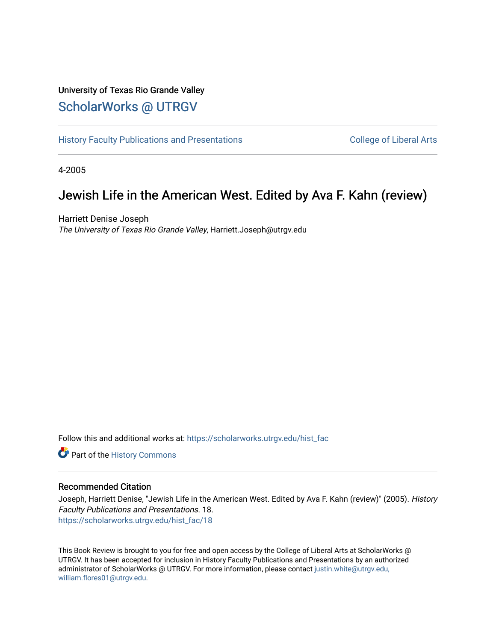## University of Texas Rio Grande Valley [ScholarWorks @ UTRGV](https://scholarworks.utrgv.edu/)

[History Faculty Publications and Presentations](https://scholarworks.utrgv.edu/hist_fac) **COLLEGE 12 College of Liberal Arts** 

4-2005

# Jewish Life in the American West. Edited by Ava F. Kahn (review)

Harriett Denise Joseph The University of Texas Rio Grande Valley, Harriett.Joseph@utrgv.edu

Follow this and additional works at: [https://scholarworks.utrgv.edu/hist\\_fac](https://scholarworks.utrgv.edu/hist_fac?utm_source=scholarworks.utrgv.edu%2Fhist_fac%2F18&utm_medium=PDF&utm_campaign=PDFCoverPages) 

Part of the [History Commons](http://network.bepress.com/hgg/discipline/489?utm_source=scholarworks.utrgv.edu%2Fhist_fac%2F18&utm_medium=PDF&utm_campaign=PDFCoverPages) 

## Recommended Citation

Joseph, Harriett Denise, "Jewish Life in the American West. Edited by Ava F. Kahn (review)" (2005). History Faculty Publications and Presentations. 18. [https://scholarworks.utrgv.edu/hist\\_fac/18](https://scholarworks.utrgv.edu/hist_fac/18?utm_source=scholarworks.utrgv.edu%2Fhist_fac%2F18&utm_medium=PDF&utm_campaign=PDFCoverPages)

This Book Review is brought to you for free and open access by the College of Liberal Arts at ScholarWorks @ UTRGV. It has been accepted for inclusion in History Faculty Publications and Presentations by an authorized administrator of ScholarWorks @ UTRGV. For more information, please contact [justin.white@utrgv.edu,](mailto:justin.white@utrgv.edu,%20william.flores01@utrgv.edu)  [william.flores01@utrgv.edu](mailto:justin.white@utrgv.edu,%20william.flores01@utrgv.edu).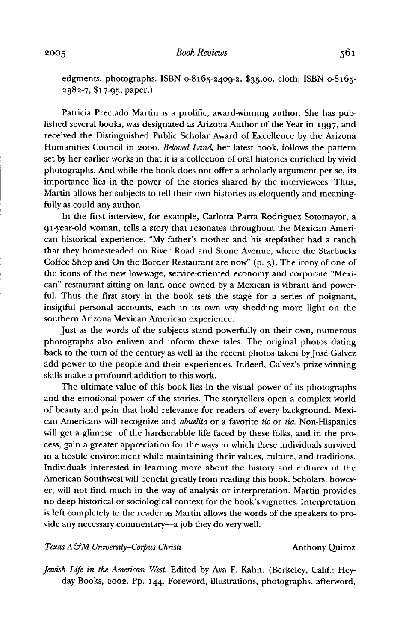edgments, photographs. ISBN 0-8165-2400-2,  $$35,00,$  cloth; ISBN 0-8165-2382-7, \$17.95, paper.)

Patricia Preciado Martin is a prolific, award-winning author. She has published several books, was designated as Arizona Author of the Year in 1997, and received the Distinguished Public Scholar Award of Excellence by the Arizona Humanities Council in 2000. *Beloved Land,* her latest book, follows the pattern set by her earlier works in that it is a collection of oral histories enriched by vivid photographs. And while the book does not offer a scholarly argument per se, its importance lies in the power of the stories shared by the interviewees. Thus, Martin allows her subjects to tell their own histories as eloquently and meaningfully as could any author.

In the first interview, for example, Carlotta Parra Rodriguez Sotomayor, a 91-year-old woman, tells a story that resonates throughout the Mexican American historical experience. "My father's mother and his stepfather had a ranch that they homesteaded on River Road and Stone Avenue, where the Starbucks Coffee Shop and On the Border Restaurant are now"  $(p, g)$ . The irony of one of the icons of the new low-wage, service-oriented economy and corporate "Mexican" restaurant sitting on land once owned by a Mexican is vibrant and powerful. Thus the first story in the book sets the stage for a series of poignant, insigtful personal accounts, each in its own way shedding more light on the southern Arizona Mexican American experience.

Just as the words of the subjects stand powerfully on their own, numerous photographs also enliven and inform these tales. The original photos dating back to the turn of the century as well as the recent photos taken by Jose Galvez add power to the people and their experiences. Indeed, Galvez's prize-winning skills make a profound addition to this work.

The ultimate value of this book lies in the visual power of its photographs and the emotional power of the stories. The storytellers open a complex world of beauty and pain that hold relevance for readers of every background. Mexican Americans will recognize and *abuelita* or a favorite *tio* or *tia.* Non-Hispanics will get a glimpse of the hardscrabble life faced by these folks, and in the process, gain a greater appreciation for the ways in which these individuals survived in a hostile environment while maintaining their values, culture, and traditions. Individuals interested in learning more about the history and cultures of the American Southwest will benefit gready from reading this book. Scholars, however, will not find much in the way of analysis or interpretation. Martin provides no deep historical or sociological context for the book's vignettes. Interpretation is left completely to the reader as Martin allows the words of the speakers to provide any necessary commentary—a job they do very well.

#### *Texas A&M University-Corpus Christi* Anthony Quiroz

*Jewish Life in the American West.* Edited by Ava F. Kahn. (Berkeley, Calif.: Heyday Books, 2002. Pp. 144. Foreword, illustrations, photographs, afterword.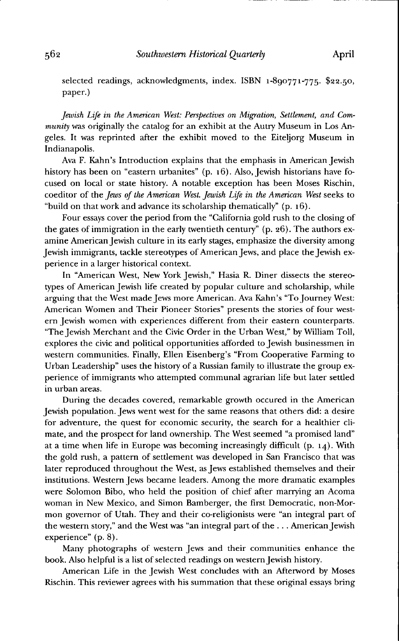selected readings, acknowledgments, index. ISBN 1-890771-775. \$22.50, paper.)

*Jewish Life in the American West: Perspectives on Migration, Settlement, and Community* was originally the catalog for an exhibit at the Autry Museum in Los Angeles. It was reprinted after the exhibit moved to the Eiteljorg Museum in Indianapolis.

Ava F. Kahn's Introduction explains that the emphasis in American Jewish history has been on "eastern urbanites" (p. 16). Also, Jewish historians have focused on local or state history. A notable exception has been Moses Rischin, coeditor of the *Jews of the American West. Jewish Life in the American West* seeks to "build on that work and advance its scholarship thematically" (p. 16).

Four essays cover the period from the "California gold rush to the closing of the gates of immigration in the early twentieth century" (p. 26). The authors examine American Jewish culture in its early stages, emphasize the diversity among Jewish immigrants, tackle stereotypes of American Jews, and place the Jewish experience in a larger historical context.

In "American West, New York Jewish," Hasia R. Diner dissects the stereotypes of American Jewish life created by popular culture and scholarship, while arguing that the West made Jews more American. Ava Kahn's "To Journey West: American Women and Their Pioneer Stories" presents the stories of four western Jewish women with experiences different from their eastern counterparts. "The Jewish Merchant and the Civic Order in the Urban West," by William Toll, explores the civic and political opportunities afforded to Jewish businessmen in western communities. Finally, Ellen Eisenberg's "From Cooperative Farming to Urban Leadership" uses the history of a Russian family to illustrate the group experience of immigrants who attempted communal agrarian life but later settled in urban areas.

During the decades covered, remarkable growth occured in the American Jewish population. Jews went west for the same reasons that others did: a desire for adventure, the quest for economic security, the search for a healthier climate, and the prospect for land ownership. The West seemed "a promised land" at a time when life in Europe was becoming increasingly difficult (p. 14). With the gold rush, a pattern of settlement was developed in San Francisco that was later reproduced throughout the West, as Jews established themselves and their institutions. Western Jews became leaders. Among the more dramatic examples were Solomon Bibo, who held the position of chief after marrying an Acoma woman in New Mexico, and Simon Bamberger, the first Democratic, non-Mormon governor of Utah. They and their co-religionists were "an integral part of the western story," and the West was "an integral part of the . . . American Jewish experience" (p. 8).

Many photographs of western Jews and their communities enhance the book. Also helpful is a list of selected readings on western Jewish history.

American Life in the Jewish West concludes with an Afterword by Moses Rischin. This reviewer agrees with his summation that these original essays bring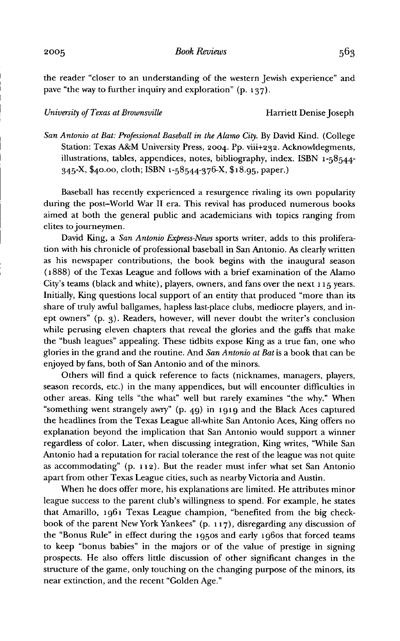2OO5 *Book Reviews* 563

### *University of Texas at Brownsville* Harriett Denise Joseph

*San Antonio at Bat: Professional Baseball in the Alamo City.* By David Kind. (College Station: Texas A&M University Press, 2004. Pp. viii+232. Acknowldegments, illustrations, tables, appendices, notes, bibliography, index. ISBN 1-58544-345-X, \$40.00, cloth; ISBN 1-58544-376-X, \$18.95, paper.)

Baseball has recently experienced a resurgence rivaling its own popularity during the post-World War II era. This revival has produced numerous books aimed at both the general public and academicians with topics ranging from elites to journeymen.

David King, a *San Antonio Express-News* sports writer, adds to this proliferation with his chronicle of professional baseball in San Antonio. As clearly written as his newspaper contributions, the book begins with the inaugural season (1888) of the Texas League and follows with a brief examination of the Alamo City's teams (black and white), players, owners, and fans over the next 115 years. Initially, King questions local support of an entity that produced "more than its share of truly awful ballgames, hapless last-place clubs, mediocre players, and inept owners" (p. 3). Readers, however, will never doubt the writer's conclusion while perusing eleven chapters that reveal the glories and the gaffs that make the "bush leagues" appealing. These tidbits expose King as a true fan, one who glories in the grand and the routine. And *San Antonio at Bat* is a book that can be enjoyed by fans, both of San Antonio and of the minors.

Others will find a quick reference to facts (nicknames, managers, players, season records, etc.) in the many appendices, but will encounter difficulties in other areas. King tells "the what" well but rarely examines "the why." When "something went strangely awry" (p. 49) in 1919 and the Black Aces captured the headlines from the Texas League all-white San Antonio Aces, King offers no explanation beyond the implication that San Antonio would support a winner regardless of color. Later, when discussing integration. King writes, "While San Antonio had a reputation for racial tolerance the rest of the league was not quite as accommodating" (p. 112). But the reader must infer what set San Antonio apart from other Texas League cities, such as nearby Victoria and Austin.

When he does offer more, his explanations are limited. He attributes minor league success to the parent club's willingness to spend. For example, he states that Amarillo, 1961 Texas League champion, "benefited from the big checkbook of the parent New York Yankees" (p. 117), disregarding any discussion of the "Bonus Rule" in effect during the 1950s and early 1960s that forced teams to keep "bonus babies" in the majors or of the value of prestige in signing prospects. He also offers litde discussion of other significant changes in the structure of the game, only touching on the changing purpose of the minors, its near extinction, and the recent "Golden Age."